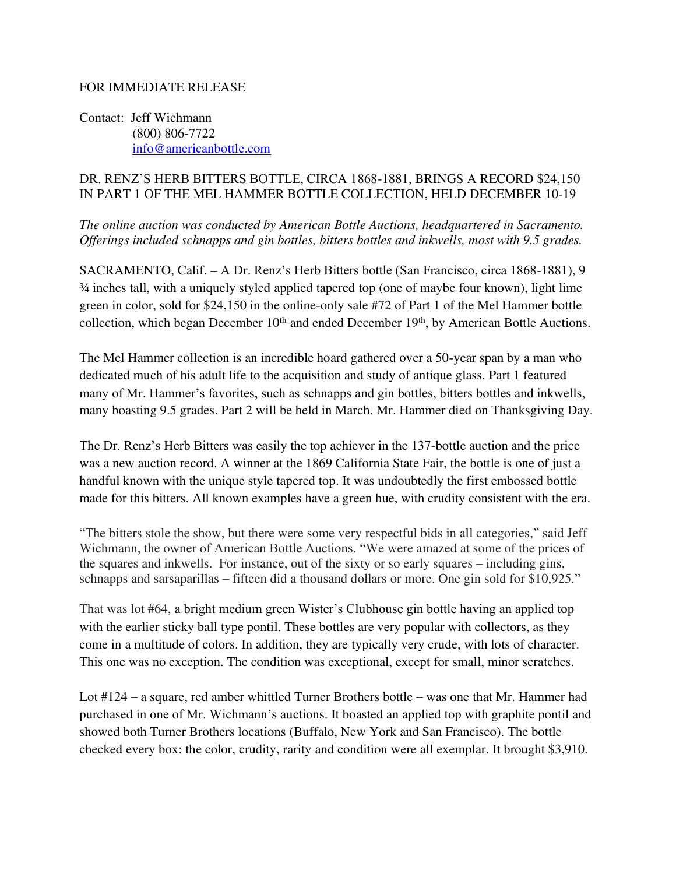## FOR IMMEDIATE RELEASE

Contact: Jeff Wichmann (800) 806-7722 [info@americanbottle.com](mailto:info@americanbottle.com)

## DR. RENZ'S HERB BITTERS BOTTLE, CIRCA 1868-1881, BRINGS A RECORD \$24,150 IN PART 1 OF THE MEL HAMMER BOTTLE COLLECTION, HELD DECEMBER 10-19

*The online auction was conducted by American Bottle Auctions, headquartered in Sacramento. Offerings included schnapps and gin bottles, bitters bottles and inkwells, most with 9.5 grades.*

SACRAMENTO, Calif. – A Dr. Renz's Herb Bitters bottle (San Francisco, circa 1868-1881), 9 ¾ inches tall, with a uniquely styled applied tapered top (one of maybe four known), light lime green in color, sold for \$24,150 in the online-only sale #72 of Part 1 of the Mel Hammer bottle collection, which began December  $10<sup>th</sup>$  and ended December  $19<sup>th</sup>$ , by American Bottle Auctions.

The Mel Hammer collection is an incredible hoard gathered over a 50-year span by a man who dedicated much of his adult life to the acquisition and study of antique glass. Part 1 featured many of Mr. Hammer's favorites, such as schnapps and gin bottles, bitters bottles and inkwells, many boasting 9.5 grades. Part 2 will be held in March. Mr. Hammer died on Thanksgiving Day.

The Dr. Renz's Herb Bitters was easily the top achiever in the 137-bottle auction and the price was a new auction record. A winner at the 1869 California State Fair, the bottle is one of just a handful known with the unique style tapered top. It was undoubtedly the first embossed bottle made for this bitters. All known examples have a green hue, with crudity consistent with the era.

"The bitters stole the show, but there were some very respectful bids in all categories," said Jeff Wichmann, the owner of American Bottle Auctions. "We were amazed at some of the prices of the squares and inkwells. For instance, out of the sixty or so early squares – including gins, schnapps and sarsaparillas – fifteen did a thousand dollars or more. One gin sold for \$10,925."

That was lot #64, a bright medium green Wister's Clubhouse gin bottle having an applied top with the earlier sticky ball type pontil. These bottles are very popular with collectors, as they come in a multitude of colors. In addition, they are typically very crude, with lots of character. This one was no exception. The condition was exceptional, except for small, minor scratches.

Lot #124 – a square, red amber whittled Turner Brothers bottle – was one that Mr. Hammer had purchased in one of Mr. Wichmann's auctions. It boasted an applied top with graphite pontil and showed both Turner Brothers locations (Buffalo, New York and San Francisco). The bottle checked every box: the color, crudity, rarity and condition were all exemplar. It brought \$3,910.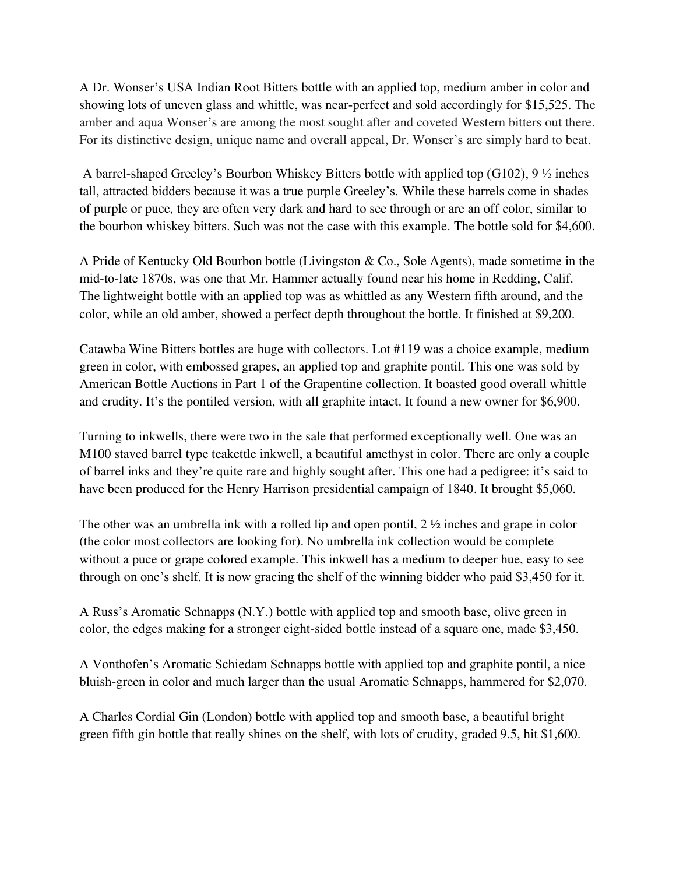A Dr. Wonser's USA Indian Root Bitters bottle with an applied top, medium amber in color and showing lots of uneven glass and whittle, was near-perfect and sold accordingly for \$15,525. The amber and aqua Wonser's are among the most sought after and coveted Western bitters out there. For its distinctive design, unique name and overall appeal, Dr. Wonser's are simply hard to beat.

A barrel-shaped Greeley's Bourbon Whiskey Bitters bottle with applied top (G102), 9 ½ inches tall, attracted bidders because it was a true purple Greeley's. While these barrels come in shades of purple or puce, they are often very dark and hard to see through or are an off color, similar to the bourbon whiskey bitters. Such was not the case with this example. The bottle sold for \$4,600.

A Pride of Kentucky Old Bourbon bottle (Livingston & Co., Sole Agents), made sometime in the mid-to-late 1870s, was one that Mr. Hammer actually found near his home in Redding, Calif. The lightweight bottle with an applied top was as whittled as any Western fifth around, and the color, while an old amber, showed a perfect depth throughout the bottle. It finished at \$9,200.

Catawba Wine Bitters bottles are huge with collectors. Lot #119 was a choice example, medium green in color, with embossed grapes, an applied top and graphite pontil. This one was sold by American Bottle Auctions in Part 1 of the Grapentine collection. It boasted good overall whittle and crudity. It's the pontiled version, with all graphite intact. It found a new owner for \$6,900.

Turning to inkwells, there were two in the sale that performed exceptionally well. One was an M100 staved barrel type teakettle inkwell, a beautiful amethyst in color. There are only a couple of barrel inks and they're quite rare and highly sought after. This one had a pedigree: it's said to have been produced for the Henry Harrison presidential campaign of 1840. It brought \$5,060.

The other was an umbrella ink with a rolled lip and open pontil, 2 ½ inches and grape in color (the color most collectors are looking for). No umbrella ink collection would be complete without a puce or grape colored example. This inkwell has a medium to deeper hue, easy to see through on one's shelf. It is now gracing the shelf of the winning bidder who paid \$3,450 for it.

A Russ's Aromatic Schnapps (N.Y.) bottle with applied top and smooth base, olive green in color, the edges making for a stronger eight-sided bottle instead of a square one, made \$3,450.

A Vonthofen's Aromatic Schiedam Schnapps bottle with applied top and graphite pontil, a nice bluish-green in color and much larger than the usual Aromatic Schnapps, hammered for \$2,070.

A Charles Cordial Gin (London) bottle with applied top and smooth base, a beautiful bright green fifth gin bottle that really shines on the shelf, with lots of crudity, graded 9.5, hit \$1,600.